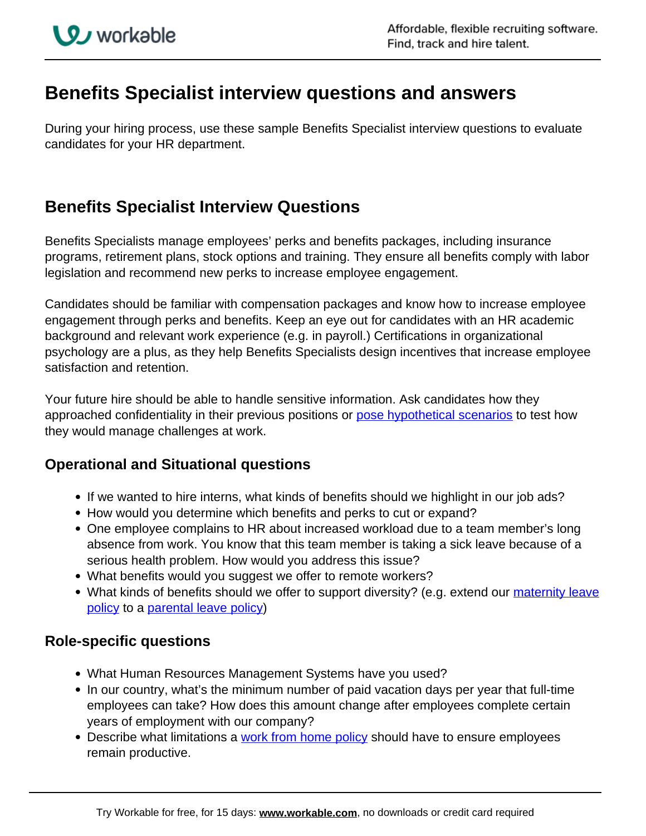# **Benefits Specialist interview questions and answers**

During your hiring process, use these sample Benefits Specialist interview questions to evaluate candidates for your HR department.

## **Benefits Specialist Interview Questions**

Benefits Specialists manage employees' perks and benefits packages, including insurance programs, retirement plans, stock options and training. They ensure all benefits comply with labor legislation and recommend new perks to increase employee engagement.

Candidates should be familiar with compensation packages and know how to increase employee engagement through perks and benefits. Keep an eye out for candidates with an HR academic background and relevant work experience (e.g. in payroll.) Certifications in organizational psychology are a plus, as they help Benefits Specialists design incentives that increase employee satisfaction and retention.

Your future hire should be able to handle sensitive information. Ask candidates how they approached confidentiality in their previous positions or [pose hypothetical scenarios](https://resources.workable.com/situational-interview-questions) to test how they would manage challenges at work.

### **Operational and Situational questions**

- If we wanted to hire interns, what kinds of benefits should we highlight in our job ads?
- How would you determine which benefits and perks to cut or expand?
- One employee complains to HR about increased workload due to a team member's long absence from work. You know that this team member is taking a sick leave because of a serious health problem. How would you address this issue?
- What benefits would you suggest we offer to remote workers?
- What kinds of benefits should we offer to support diversity? (e.g. extend our maternity leave policy to a parental leave policy)

### **Role-specific questions**

- What Human Resources Management Systems have you used?
- In our country, what's the minimum number of paid vacation days per year that full-time employees can take? How does this amount change after employees complete certain years of employment with our company?
- Describe what limitations a work from home policy should have to ensure employees remain productive.